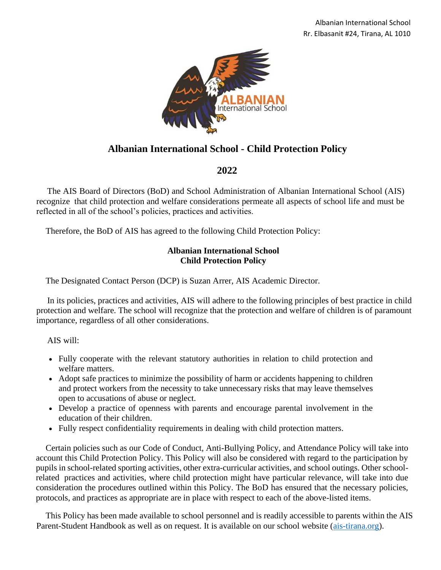

# **Albanian International School - Child Protection Policy**

# **2022**

The AIS Board of Directors (BoD) and School Administration of Albanian International School (AIS) recognize that child protection and welfare considerations permeate all aspects of school life and must be reflected in all of the school's policies, practices and activities.

Therefore, the BoD of AIS has agreed to the following Child Protection Policy:

# **Albanian International School Child Protection Policy**

The Designated Contact Person (DCP) is Suzan Arrer, AIS Academic Director.

In its policies, practices and activities, AIS will adhere to the following principles of best practice in child protection and welfare. The school will recognize that the protection and welfare of children is of paramount importance, regardless of all other considerations.

AIS will:

- Fully cooperate with the relevant statutory authorities in relation to child protection and welfare matters.
- Adopt safe practices to minimize the possibility of harm or accidents happening to children and protect workers from the necessity to take unnecessary risks that may leave themselves open to accusations of abuse or neglect.
- Develop a practice of openness with parents and encourage parental involvement in the education of their children.
- Fully respect confidentiality requirements in dealing with child protection matters.

Certain policies such as our Code of Conduct, Anti-Bullying Policy, and Attendance Policy will take into account this Child Protection Policy. This Policy will also be considered with regard to the participation by pupils in school-related sporting activities, other extra-curricular activities, and school outings. Other schoolrelated practices and activities, where child protection might have particular relevance, will take into due consideration the procedures outlined within this Policy. The BoD has ensured that the necessary policies, protocols, and practices as appropriate are in place with respect to each of the above-listed items.

This Policy has been made available to school personnel and is readily accessible to parents within the AIS Parent-Student Handbook as well as on request. It is available on our school website [\(ais-tirana.org\)](http://www.ais-tirana.org/).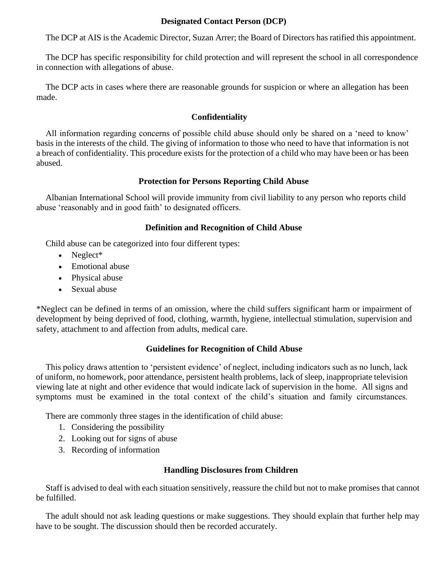### **Designated Contact Person (DCP)**

The DCP at AIS is the Academic Director, Suzan Arrer; the Board of Directors has ratified this appointment.

The DCP has specific responsibility for child protection and will represent the school in all correspondence in connection with allegations of abuse.

The DCP acts in cases where there are reasonable grounds for suspicion or where an allegation has been made.

# **Confidentiality**

All information regarding concerns of possible child abuse should only be shared on a 'need to know' basis in the interests of the child. The giving of information to those who need to have that information is not a breach of confidentiality. This procedure exists for the protection of a child who may have been or has been abused.

# **Protection for Persons Reporting Child Abuse**

Albanian International School will provide immunity from civil liability to any person who reports child abuse 'reasonably and in good faith' to designated officers.

# **Definition and Recognition of Child Abuse**

Child abuse can be categorized into four different types:

- Neglect\*
- Emotional abuse
- Physical abuse
- Sexual abuse

\*Neglect can be defined in terms of an omission, where the child suffers significant harm or impairment of development by being deprived of food, clothing, warmth, hygiene, intellectual stimulation, supervision and safety, attachment to and affection from adults, medical care.

# **Guidelines for Recognition of Child Abuse**

This policy draws attention to 'persistent evidence' of neglect, including indicators such as no lunch, lack of uniform, no homework, poor attendance, persistent health problems, lack of sleep, inappropriate television viewing late at night and other evidence that would indicate lack of supervision in the home. All signs and symptoms must be examined in the total context of the child's situation and family circumstances.

There are commonly three stages in the identification of child abuse:

- 1. Considering the possibility
- 2. Looking out for signs of abuse
- 3. Recording of information

# **Handling Disclosures from Children**

Staff is advised to deal with each situation sensitively, reassure the child but not to make promises that cannot be fulfilled.

The adult should not ask leading questions or make suggestions. They should explain that further help may have to be sought. The discussion should then be recorded accurately.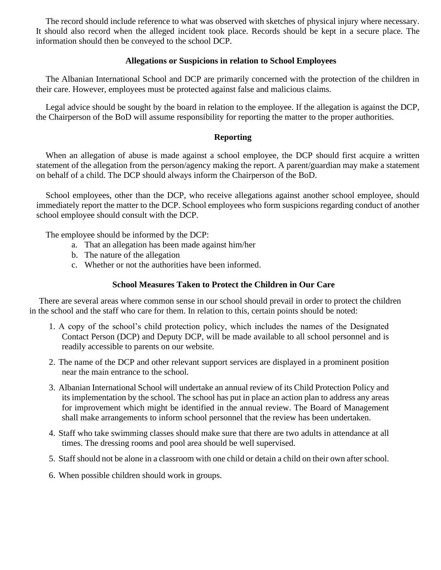The record should include reference to what was observed with sketches of physical injury where necessary. It should also record when the alleged incident took place. Records should be kept in a secure place. The information should then be conveyed to the school DCP.

### **Allegations or Suspicions in relation to School Employees**

The Albanian International School and DCP are primarily concerned with the protection of the children in their care. However, employees must be protected against false and malicious claims.

Legal advice should be sought by the board in relation to the employee. If the allegation is against the DCP, the Chairperson of the BoD will assume responsibility for reporting the matter to the proper authorities.

# **Reporting**

When an allegation of abuse is made against a school employee, the DCP should first acquire a written statement of the allegation from the person/agency making the report. A parent/guardian may make a statement on behalf of a child. The DCP should always inform the Chairperson of the BoD.

School employees, other than the DCP, who receive allegations against another school employee, should immediately report the matter to the DCP. School employees who form suspicions regarding conduct of another school employee should consult with the DCP.

The employee should be informed by the DCP:

- a. That an allegation has been made against him/her
- b. The nature of the allegation
- c. Whether or not the authorities have been informed.

# **School Measures Taken to Protect the Children in Our Care**

There are several areas where common sense in our school should prevail in order to protect the children in the school and the staff who care for them. In relation to this, certain points should be noted:

- 1. A copy of the school's child protection policy, which includes the names of the Designated Contact Person (DCP) and Deputy DCP, will be made available to all school personnel and is readily accessible to parents on our website.
- 2. The name of the DCP and other relevant support services are displayed in a prominent position near the main entrance to the school.
- 3. Albanian International School will undertake an annual review of its Child Protection Policy and its implementation by the school. The school has put in place an action plan to address any areas for improvement which might be identified in the annual review. The Board of Management shall make arrangements to inform school personnel that the review has been undertaken.
- 4. Staff who take swimming classes should make sure that there are two adults in attendance at all times. The dressing rooms and pool area should be well supervised.
- 5. Staff should not be alone in a classroom with one child or detain a child on their own after school.
- 6. When possible children should work in groups.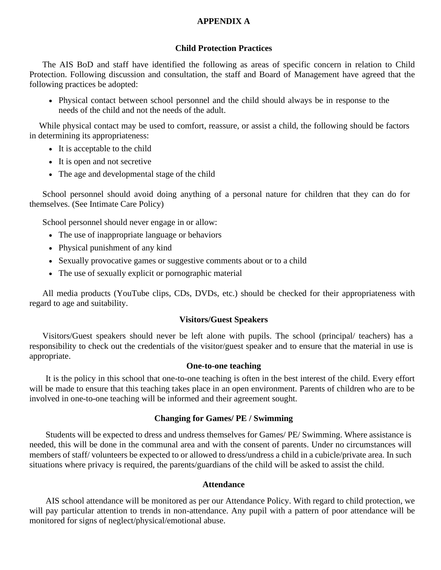#### **APPENDIX A**

#### **Child Protection Practices**

The AIS BoD and staff have identified the following as areas of specific concern in relation to Child Protection. Following discussion and consultation, the staff and Board of Management have agreed that the following practices be adopted:

• Physical contact between school personnel and the child should always be in response to the needs of the child and not the needs of the adult.

While physical contact may be used to comfort, reassure, or assist a child, the following should be factors in determining its appropriateness:

- It is acceptable to the child
- It is open and not secretive
- The age and developmental stage of the child

School personnel should avoid doing anything of a personal nature for children that they can do for themselves. (See Intimate Care Policy)

School personnel should never engage in or allow:

- The use of inappropriate language or behaviors
- Physical punishment of any kind
- Sexually provocative games or suggestive comments about or to a child
- The use of sexually explicit or pornographic material

All media products (YouTube clips, CDs, DVDs, etc.) should be checked for their appropriateness with regard to age and suitability.

### **Visitors/Guest Speakers**

Visitors/Guest speakers should never be left alone with pupils. The school (principal/ teachers) has a responsibility to check out the credentials of the visitor/guest speaker and to ensure that the material in use is appropriate.

### **One-to-one teaching**

It is the policy in this school that one-to-one teaching is often in the best interest of the child. Every effort will be made to ensure that this teaching takes place in an open environment. Parents of children who are to be involved in one-to-one teaching will be informed and their agreement sought.

### **Changing for Games/ PE / Swimming**

Students will be expected to dress and undress themselves for Games/ PE/ Swimming. Where assistance is needed, this will be done in the communal area and with the consent of parents. Under no circumstances will members of staff/ volunteers be expected to or allowed to dress/undress a child in a cubicle/private area. In such situations where privacy is required, the parents/guardians of the child will be asked to assist the child.

#### **Attendance**

AIS school attendance will be monitored as per our Attendance Policy. With regard to child protection, we will pay particular attention to trends in non-attendance. Any pupil with a pattern of poor attendance will be monitored for signs of neglect/physical/emotional abuse.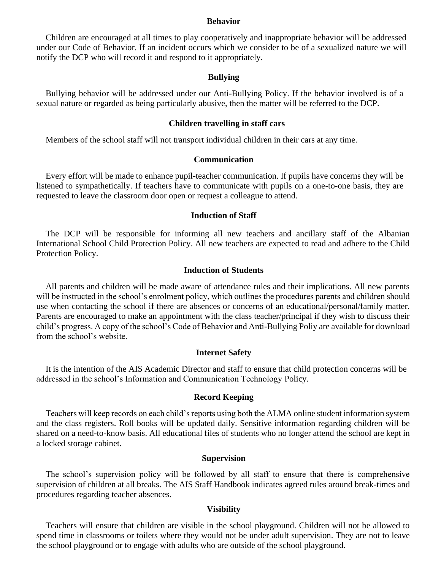#### **Behavior**

Children are encouraged at all times to play cooperatively and inappropriate behavior will be addressed under our Code of Behavior. If an incident occurs which we consider to be of a sexualized nature we will notify the DCP who will record it and respond to it appropriately.

#### **Bullying**

Bullying behavior will be addressed under our Anti-Bullying Policy. If the behavior involved is of a sexual nature or regarded as being particularly abusive, then the matter will be referred to the DCP.

#### **Children travelling in staff cars**

Members of the school staff will not transport individual children in their cars at any time.

#### **Communication**

Every effort will be made to enhance pupil-teacher communication. If pupils have concerns they will be listened to sympathetically. If teachers have to communicate with pupils on a one-to-one basis, they are requested to leave the classroom door open or request a colleague to attend.

#### **Induction of Staff**

The DCP will be responsible for informing all new teachers and ancillary staff of the Albanian International School Child Protection Policy. All new teachers are expected to read and adhere to the Child Protection Policy.

#### **Induction of Students**

All parents and children will be made aware of attendance rules and their implications. All new parents will be instructed in the school's enrolment policy, which outlines the procedures parents and children should use when contacting the school if there are absences or concerns of an educational/personal/family matter. Parents are encouraged to make an appointment with the class teacher/principal if they wish to discuss their child's progress. A copy of the school's Code of Behavior and Anti-Bullying Poliy are available for download from the school's website.

#### **Internet Safety**

It is the intention of the AIS Academic Director and staff to ensure that child protection concerns will be addressed in the school's Information and Communication Technology Policy.

#### **Record Keeping**

Teachers will keep records on each child's reports using both the ALMA online student information system and the class registers. Roll books will be updated daily. Sensitive information regarding children will be shared on a need-to-know basis. All educational files of students who no longer attend the school are kept in a locked storage cabinet.

#### **Supervision**

The school's supervision policy will be followed by all staff to ensure that there is comprehensive supervision of children at all breaks. The AIS Staff Handbook indicates agreed rules around break-times and procedures regarding teacher absences.

#### **Visibility**

Teachers will ensure that children are visible in the school playground. Children will not be allowed to spend time in classrooms or toilets where they would not be under adult supervision. They are not to leave the school playground or to engage with adults who are outside of the school playground.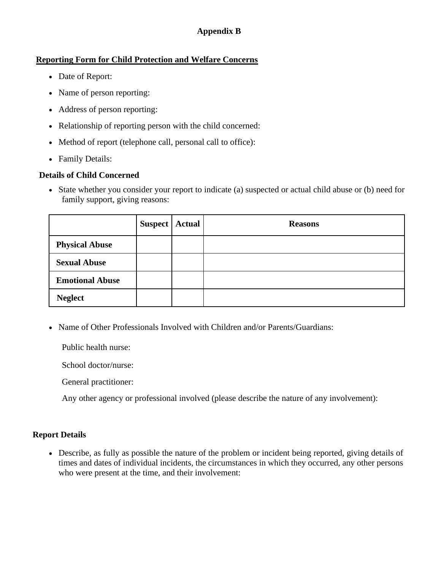# **Appendix B**

# **Reporting Form for Child Protection and Welfare Concerns**

- Date of Report:
- Name of person reporting:
- Address of person reporting:
- Relationship of reporting person with the child concerned:
- Method of report (telephone call, personal call to office):
- Family Details:

# **Details of Child Concerned**

• State whether you consider your report to indicate (a) suspected or actual child abuse or (b) need for family support, giving reasons:

|                        | <b>Suspect   Actual</b> | <b>Reasons</b> |
|------------------------|-------------------------|----------------|
| <b>Physical Abuse</b>  |                         |                |
| <b>Sexual Abuse</b>    |                         |                |
| <b>Emotional Abuse</b> |                         |                |
| <b>Neglect</b>         |                         |                |

• Name of Other Professionals Involved with Children and/or Parents/Guardians:

Public health nurse:

School doctor/nurse:

General practitioner:

Any other agency or professional involved (please describe the nature of any involvement):

# **Report Details**

• Describe, as fully as possible the nature of the problem or incident being reported, giving details of times and dates of individual incidents, the circumstances in which they occurred, any other persons who were present at the time, and their involvement: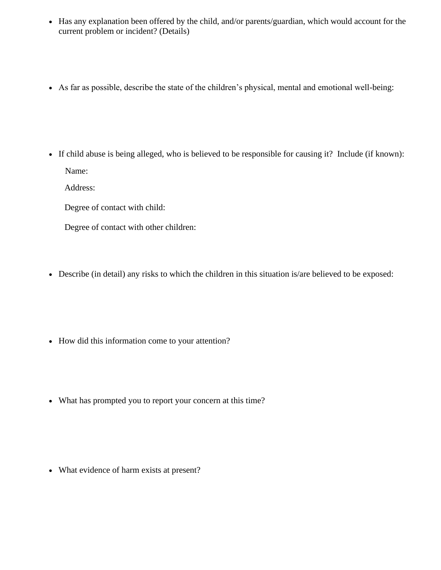- Has any explanation been offered by the child, and/or parents/guardian, which would account for the current problem or incident? (Details)
- As far as possible, describe the state of the children's physical, mental and emotional well-being:

- If child abuse is being alleged, who is believed to be responsible for causing it? Include (if known): Name:
	- Address:
	- Degree of contact with child:
	- Degree of contact with other children:
- Describe (in detail) any risks to which the children in this situation is/are believed to be exposed:
- How did this information come to your attention?
- What has prompted you to report your concern at this time?

• What evidence of harm exists at present?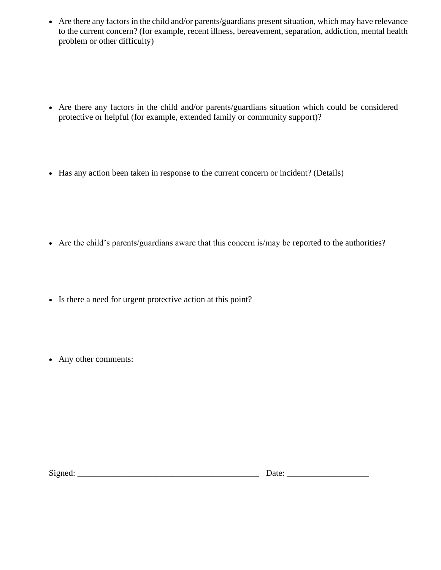- Are there any factors in the child and/or parents/guardians present situation, which may have relevance to the current concern? (for example, recent illness, bereavement, separation, addiction, mental health problem or other difficulty)
- Are there any factors in the child and/or parents/guardians situation which could be considered protective or helpful (for example, extended family or community support)?
- Has any action been taken in response to the current concern or incident? (Details)

- Are the child's parents/guardians aware that this concern is/may be reported to the authorities?
- Is there a need for urgent protective action at this point?
- Any other comments:

Signed: \_\_\_\_\_\_\_\_\_\_\_\_\_\_\_\_\_\_\_\_\_\_\_\_\_\_\_\_\_\_\_\_\_\_\_\_\_\_\_\_\_\_ Date: \_\_\_\_\_\_\_\_\_\_\_\_\_\_\_\_\_\_\_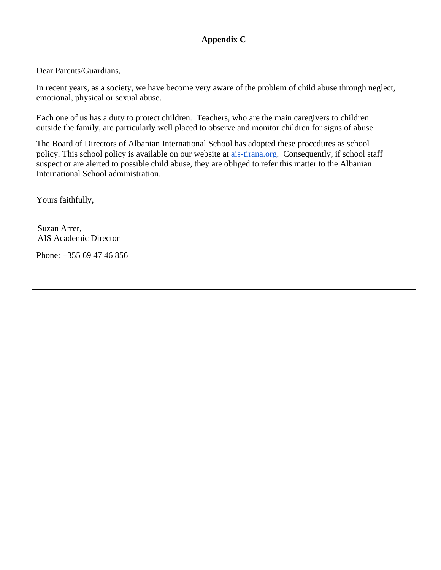# **Appendix C**

Dear Parents/Guardians,

In recent years, as a society, we have become very aware of the problem of child abuse through neglect, emotional, physical or sexual abuse.

Each one of us has a duty to protect children. Teachers, who are the main caregivers to children outside the family, are particularly well placed to observe and monitor children for signs of abuse.

The Board of Directors of Albanian International School has adopted these procedures as school policy. This school policy is available on our website at [ais-tirana.org.](https://ais-tirana.org/) Consequently, if school staff suspect or are alerted to possible child abuse, they are obliged to refer this matter to the Albanian International School administration.

Yours faithfully,

Suzan Arrer, AIS Academic Director

Phone: +355 69 47 46 856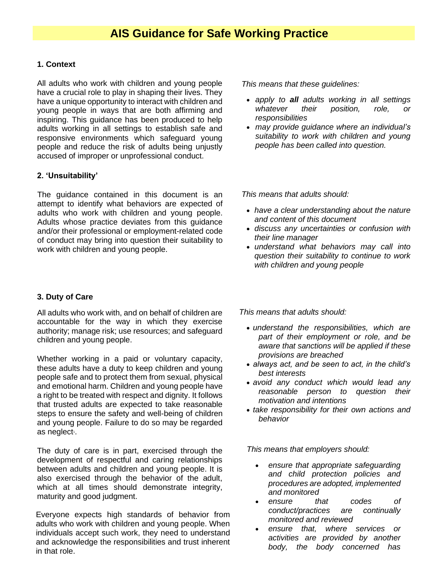### **1. Context**

All adults who work with children and young people have a crucial role to play in shaping their lives. They have a unique opportunity to interact with children and young people in ways that are both affirming and inspiring. This guidance has been produced to help adults working in all settings to establish safe and responsive environments which safeguard young people and reduce the risk of adults being unjustly accused of improper or unprofessional conduct.

### **2. 'Unsuitability'**

The guidance contained in this document is an attempt to identify what behaviors are expected of adults who work with children and young people. Adults whose practice deviates from this guidance and/or their professional or employment-related code of conduct may bring into question their suitability to work with children and young people.

# **3. Duty of Care**

All adults who work with, and on behalf of children are accountable for the way in which they exercise authority; manage risk; use resources; and safeguard children and young people.

Whether working in a paid or voluntary capacity, these adults have a duty to keep children and young people safe and to protect them from sexual, physical and emotional harm. Children and young people have a right to be treated with respect and dignity. It follows that trusted adults are expected to take reasonable steps to ensure the safety and well-being of children and young people. Failure to do so may be regarded as neglect<sup>1</sup>.

The duty of care is in part, exercised through the development of respectful and caring relationships between adults and children and young people. It is also exercised through the behavior of the adult, which at all times should demonstrate integrity, maturity and good judgment.

Everyone expects high standards of behavior from adults who work with children and young people. When individuals accept such work, they need to understand and acknowledge the responsibilities and trust inherent in that role.

*This means that these guidelines:*

- *apply to all adults working in all settings whatever their position, role, or responsibilities*
- *may provide guidance where an individual's suitability to work with children and young people has been called into question.*

*This means that adults should:*

- *have a clear understanding about the nature and content of this document*
- *discuss any uncertainties or confusion with their line manager*
- *understand what behaviors may call into question their suitability to continue to work with children and young people*

*This means that adults should:*

- *understand the responsibilities, which are part of their employment or role, and be aware that sanctions will be applied if these provisions are breached*
- *always act, and be seen to act, in the child's best interests*
- *avoid any conduct which would lead any reasonable person to question their motivation and intentions*
- *take responsibility for their own actions and behavior*

*This means that employers should:*

- *ensure that appropriate safeguarding and child protection policies and procedures are adopted, implemented and monitored*
- *ensure that codes of conduct/practices are continually monitored and reviewed*
- *ensure that, where services or activities are provided by another body, the body concerned has*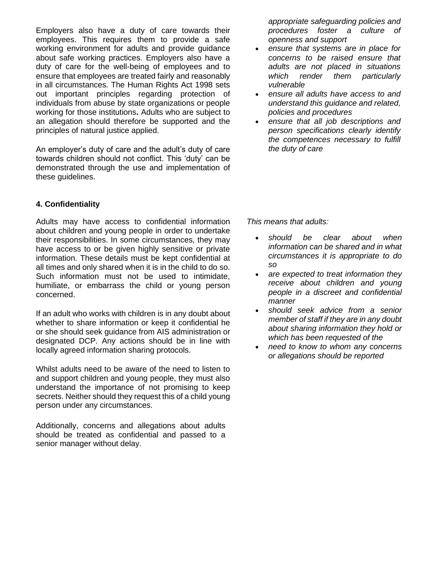Employers also have a duty of care towards their employees. This requires them to provide a safe working environment for adults and provide guidance about safe working practices. Employers also have a duty of care for the well-being of employees and to ensure that employees are treated fairly and reasonably in all circumstances. The Human Rights Act 1998 sets out important principles regarding protection of individuals from abuse by state organizations or people working for those institutions**.** Adults who are subject to an allegation should therefore be supported and the principles of natural justice applied.

An employer's duty of care and the adult's duty of care towards children should not conflict. This 'duty' can be demonstrated through the use and implementation of these guidelines.

### **4. Confidentiality**

Adults may have access to confidential information about children and young people in order to undertake their responsibilities. In some circumstances, they may have access to or be given highly sensitive or private information. These details must be kept confidential at all times and only shared when it is in the child to do so. Such information must not be used to intimidate, humiliate, or embarrass the child or young person concerned.

If an adult who works with children is in any doubt about whether to share information or keep it confidential he or she should seek guidance from AIS administration or designated DCP. Any actions should be in line with locally agreed information sharing protocols.

Whilst adults need to be aware of the need to listen to and support children and young people, they must also understand the importance of not promising to keep secrets. Neither should they request this of a child young person under any circumstances.

Additionally, concerns and allegations about adults should be treated as confidential and passed to a senior manager without delay.

*appropriate safeguarding policies and procedures foster a culture of openness and support*

- *ensure that systems are in place for concerns to be raised ensure that adults are not placed in situations which render them particularly vulnerable*
- *ensure all adults have access to and understand this guidance and related, policies and procedures*
- *ensure that all job descriptions and person specifications clearly identify the competences necessary to fulfill the duty of care*

*This means that adults:*

- *should be clear about when information can be shared and in what circumstances it is appropriate to do so*
- *are expected to treat information they receive about children and young people in a discreet and confidential manner*
- *should seek advice from a senior member of staff if they are in any doubt about sharing information they hold or which has been requested of the*
- *need to know to whom any concerns or allegations should be reported*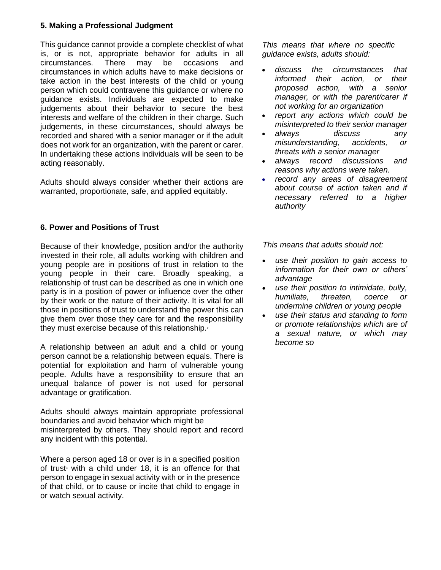### **5. Making a Professional Judgment**

This guidance cannot provide a complete checklist of what is, or is not, appropriate behavior for adults in all circumstances. There may be occasions and circumstances in which adults have to make decisions or take action in the best interests of the child or young person which could contravene this guidance or where no guidance exists. Individuals are expected to make judgements about their behavior to secure the best interests and welfare of the children in their charge. Such judgements, in these circumstances, should always be recorded and shared with a senior manager or if the adult does not work for an organization, with the parent or carer. In undertaking these actions individuals will be seen to be acting reasonably.

Adults should always consider whether their actions are warranted, proportionate, safe, and applied equitably.

### **6. Power and Positions of Trust**

Because of their knowledge, position and/or the authority invested in their role, all adults working with children and young people are in positions of trust in relation to the young people in their care. Broadly speaking, a relationship of trust can be described as one in which one party is in a position of power or influence over the other by their work or the nature of their activity. It is vital for all those in positions of trust to understand the power this can give them over those they care for and the responsibility they must exercise because of this relationship.<sup>2</sup>

A relationship between an adult and a child or young person cannot be a relationship between equals. There is potential for exploitation and harm of vulnerable young people. Adults have a responsibility to ensure that an unequal balance of power is not used for personal advantage or gratification.

Adults should always maintain appropriate professional boundaries and avoid behavior which might be misinterpreted by others. They should report and record any incident with this potential.

Where a person aged 18 or over is in a specified position of trust with a child under 18, it is an offence for that person to engage in sexual activity with or in the presence of that child, or to cause or incite that child to engage in or watch sexual activity.

*This means that where no specific guidance exists, adults should:*

- *discuss the circumstances that informed their action, or their proposed action, with a senior manager, or with the parent/carer if not working for an organization*
- *report any actions which could be misinterpreted to their senior manager*
- *always discuss any misunderstanding, accidents, or threats with a senior manager*
- *always record discussions and reasons why actions were taken.*
- *record any areas of disagreement about course of action taken and if necessary referred to a higher authority*

- *use their position to gain access to information for their own or others' advantage*
- *use their position to intimidate, bully, humiliate, threaten, coerce or undermine children or young people*
- *use their status and standing to form or promote relationships which are of a sexual nature, or which may become so*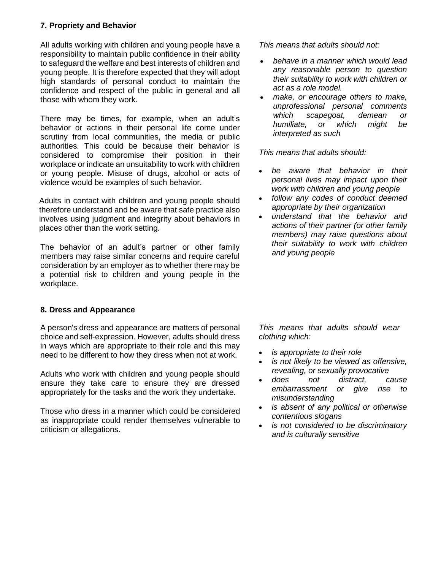## **7. Propriety and Behavior**

All adults working with children and young people have a responsibility to maintain public confidence in their ability to safeguard the welfare and best interests of children and young people. It is therefore expected that they will adopt high standards of personal conduct to maintain the confidence and respect of the public in general and all those with whom they work.

There may be times, for example, when an adult's behavior or actions in their personal life come under scrutiny from local communities, the media or public authorities. This could be because their behavior is considered to compromise their position in their workplace or indicate an unsuitability to work with children or young people. Misuse of drugs, alcohol or acts of violence would be examples of such behavior.

Adults in contact with children and young people should therefore understand and be aware that safe practice also involves using judgment and integrity about behaviors in places other than the work setting.

The behavior of an adult's partner or other family members may raise similar concerns and require careful consideration by an employer as to whether there may be a potential risk to children and young people in the workplace.

### **8. Dress and Appearance**

A person's dress and appearance are matters of personal choice and self-expression. However, adults should dress in ways which are appropriate to their role and this may need to be different to how they dress when not at work.

Adults who work with children and young people should ensure they take care to ensure they are dressed appropriately for the tasks and the work they undertake.

Those who dress in a manner which could be considered as inappropriate could render themselves vulnerable to criticism or allegations.

*This means that adults should not:*

- *behave in a manner which would lead any reasonable person to question their suitability to work with children or act as a role model.*
- *make, or encourage others to make, unprofessional personal comments which scapegoat, demean or humiliate, or which might be interpreted as such*

*This means that adults should:*

- *be aware that behavior in their personal lives may impact upon their work with children and young people*
- *follow any codes of conduct deemed appropriate by their organization*
- *understand that the behavior and actions of their partner (or other family members) may raise questions about their suitability to work with children and young people*

*This means that adults should wear clothing which:*

- *is appropriate to their role*
- *is not likely to be viewed as offensive, revealing, or sexually provocative*
- *does not distract, cause embarrassment or give rise to misunderstanding*
- *is absent of any political or otherwise contentious slogans*
- *is not considered to be discriminatory and is culturally sensitive*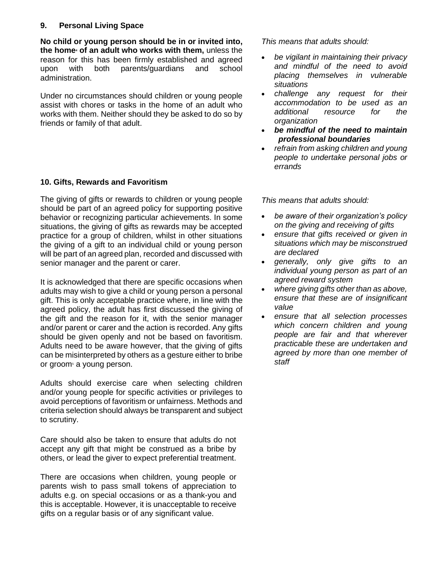## **9. Personal Living Space**

**No child or young person should be in or invited into, the home<sup>4</sup> of an adult who works with them,** unless the reason for this has been firmly established and agreed upon with both parents/guardians and school administration.

Under no circumstances should children or young people assist with chores or tasks in the home of an adult who works with them. Neither should they be asked to do so by friends or family of that adult.

### **10. Gifts, Rewards and Favoritism**

The giving of gifts or rewards to children or young people should be part of an agreed policy for supporting positive behavior or recognizing particular achievements. In some situations, the giving of gifts as rewards may be accepted practice for a group of children, whilst in other situations the giving of a gift to an individual child or young person will be part of an agreed plan, recorded and discussed with senior manager and the parent or carer.

It is acknowledged that there are specific occasions when adults may wish to give a child or young person a personal gift. This is only acceptable practice where, in line with the agreed policy, the adult has first discussed the giving of the gift and the reason for it, with the senior manager and/or parent or carer and the action is recorded. Any gifts should be given openly and not be based on favoritism. Adults need to be aware however, that the giving of gifts can be misinterpreted by others as a gesture either to bribe or groom a young person.

Adults should exercise care when selecting children and/or young people for specific activities or privileges to avoid perceptions of favoritism or unfairness. Methods and criteria selection should always be transparent and subject to scrutiny.

Care should also be taken to ensure that adults do not accept any gift that might be construed as a bribe by others, or lead the giver to expect preferential treatment.

There are occasions when children, young people or parents wish to pass small tokens of appreciation to adults e.g. on special occasions or as a thank-you and this is acceptable. However, it is unacceptable to receive gifts on a regular basis or of any significant value.

*This means that adults should:*

- *be vigilant in maintaining their privacy and mindful of the need to avoid placing themselves in vulnerable situations*
- *challenge any request for their accommodation to be used as an additional resource for the organization*
- *be mindful of the need to maintain professional boundaries*
- *refrain from asking children and young people to undertake personal jobs or errands*

- *be aware of their organization's policy on the giving and receiving of gifts*
- *ensure that gifts received or given in situations which may be misconstrued are declared*
- *generally, only give gifts to an individual young person as part of an agreed reward system*
- *where giving gifts other than as above, ensure that these are of insignificant value*
- *ensure that all selection processes which concern children and young people are fair and that wherever practicable these are undertaken and agreed by more than one member of staff*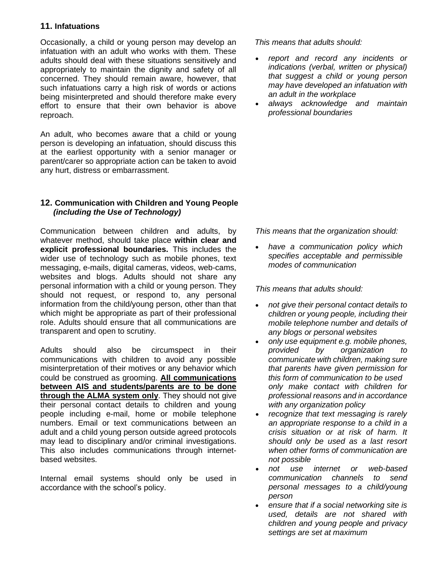### **11. Infatuations**

Occasionally, a child or young person may develop an infatuation with an adult who works with them. These adults should deal with these situations sensitively and appropriately to maintain the dignity and safety of all concerned. They should remain aware, however, that such infatuations carry a high risk of words or actions being misinterpreted and should therefore make every effort to ensure that their own behavior is above reproach.

An adult, who becomes aware that a child or young person is developing an infatuation, should discuss this at the earliest opportunity with a senior manager or parent/carer so appropriate action can be taken to avoid any hurt, distress or embarrassment.

#### **12. Communication with Children and Young People** *(including the Use of Technology)*

Communication between children and adults, by whatever method, should take place **within clear and explicit professional boundaries.** This includes the wider use of technology such as mobile phones, text messaging, e-mails, digital cameras, videos, web-cams, websites and blogs. Adults should not share any personal information with a child or young person. They should not request, or respond to, any personal information from the child/young person, other than that which might be appropriate as part of their professional role. Adults should ensure that all communications are transparent and open to scrutiny.

Adults should also be circumspect in their communications with children to avoid any possible misinterpretation of their motives or any behavior which could be construed as grooming. **All communications between AIS and students/parents are to be done through the ALMA system only**. They should not give their personal contact details to children and young people including e-mail, home or mobile telephone numbers. Email or text communications between an adult and a child young person outside agreed protocols may lead to disciplinary and/or criminal investigations. This also includes communications through internetbased websites.

Internal email systems should only be used in accordance with the school's policy.

*This means that adults should:*

- *report and record any incidents or indications (verbal, written or physical) that suggest a child or young person may have developed an infatuation with an adult in the workplace*
- *always acknowledge and maintain professional boundaries*

*This means that the organization should:*

• *have a communication policy which specifies acceptable and permissible modes of communication*

- *not give their personal contact details to children or young people, including their mobile telephone number and details of any blogs or personal websites*
- *only use equipment e.g. mobile phones, provided by organization to communicate with children, making sure that parents have given permission for this form of communication to be used only make contact with children for professional reasons and in accordance with any organization policy*
- *recognize that text messaging is rarely an appropriate response to a child in a crisis situation or at risk of harm. It should only be used as a last resort when other forms of communication are not possible*
- *not use internet or web-based communication channels to send personal messages to a child/young person*
- *ensure that if a social networking site is used, details are not shared with children and young people and privacy settings are set at maximum*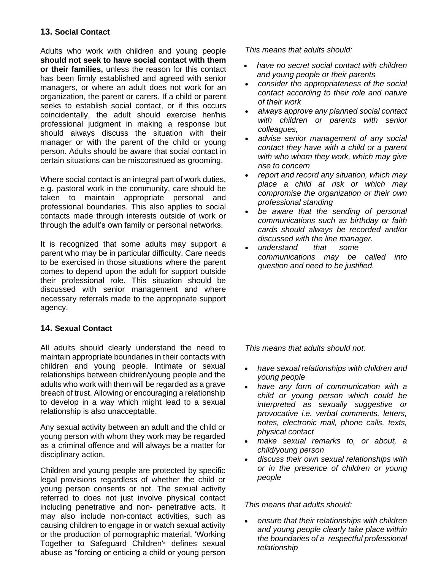# **13. Social Contact**

Adults who work with children and young people **should not seek to have social contact with them or their families,** unless the reason for this contact has been firmly established and agreed with senior managers, or where an adult does not work for an organization, the parent or carers. If a child or parent seeks to establish social contact, or if this occurs coincidentally, the adult should exercise her/his professional judgment in making a response but should always discuss the situation with their manager or with the parent of the child or young person. Adults should be aware that social contact in certain situations can be misconstrued as grooming.

Where social contact is an integral part of work duties, e.g. pastoral work in the community, care should be taken to maintain appropriate personal and professional boundaries. This also applies to social contacts made through interests outside of work or through the adult's own family or personal networks.

It is recognized that some adults may support a parent who may be in particular difficulty. Care needs to be exercised in those situations where the parent comes to depend upon the adult for support outside their professional role. This situation should be discussed with senior management and where necessary referrals made to the appropriate support agency.

# **14. Sexual Contact**

All adults should clearly understand the need to maintain appropriate boundaries in their contacts with children and young people. Intimate or sexual relationships between children/young people and the adults who work with them will be regarded as a grave breach of trust. Allowing or encouraging a relationship to develop in a way which might lead to a sexual relationship is also unacceptable.

Any sexual activity between an adult and the child or young person with whom they work may be regarded as a criminal offence and will always be a matter for disciplinary action.

Children and young people are protected by specific legal provisions regardless of whether the child or young person consents or not. The sexual activity referred to does not just involve physical contact including penetrative and non- penetrative acts. It may also include non-contact activities, such as causing children to engage in or watch sexual activity or the production of pornographic material. 'Working Together to Safeguard Children'6, defines *s*exual abuse as "forcing or enticing a child or young person

*This means that adults should:*

- *have no secret social contact with children and young people or their parents*
- *consider the appropriateness of the social contact according to their role and nature of their work*
- *always approve any planned social contact with children or parents with senior colleagues,*
- *advise senior management of any social contact they have with a child or a parent with who whom they work, which may give rise to concern*
- *report and record any situation, which may place a child at risk or which may compromise the organization or their own professional standing*
- *be aware that the sending of personal communications such as birthday or faith cards should always be recorded and/or discussed with the line manager.*
- *understand that some communications may be called into question and need to be justified.*

*This means that adults should not:*

- *have sexual relationships with children and young people*
- *have any form of communication with a child or young person which could be interpreted as sexually suggestive or provocative i.e. verbal comments, letters, notes, electronic mail, phone calls, texts, physical contact*
- *make sexual remarks to, or about, a child/young person*
- *discuss their own sexual relationships with or in the presence of children or young people*

*This means that adults should:*

• *ensure that their relationships with children and young people clearly take place within the boundaries of a respectful professional relationship*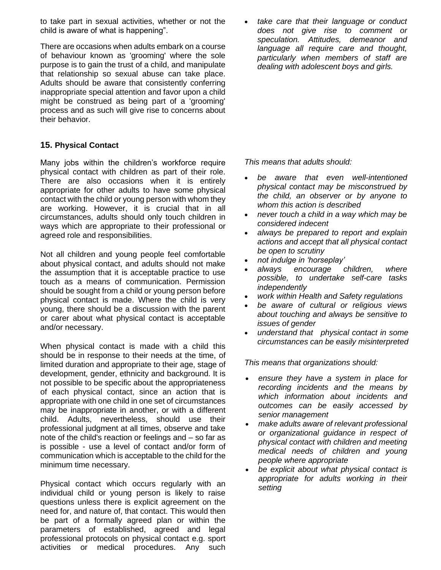to take part in sexual activities, whether or not the child is aware of what is happening".

There are occasions when adults embark on a course of behaviour known as 'grooming' where the sole purpose is to gain the trust of a child, and manipulate that relationship so sexual abuse can take place. Adults should be aware that consistently conferring inappropriate special attention and favor upon a child might be construed as being part of a 'grooming' process and as such will give rise to concerns about their behavior.

### **15. Physical Contact**

Many jobs within the children's workforce require physical contact with children as part of their role. There are also occasions when it is entirely appropriate for other adults to have some physical contact with the child or young person with whom they are working. However, it is crucial that in all circumstances, adults should only touch children in ways which are appropriate to their professional or agreed role and responsibilities.

Not all children and young people feel comfortable about physical contact, and adults should not make the assumption that it is acceptable practice to use touch as a means of communication. Permission should be sought from a child or young person before physical contact is made. Where the child is very young, there should be a discussion with the parent or carer about what physical contact is acceptable and/or necessary.

When physical contact is made with a child this should be in response to their needs at the time, of limited duration and appropriate to their age, stage of development, gender, ethnicity and background. It is not possible to be specific about the appropriateness of each physical contact, since an action that is appropriate with one child in one set of circumstances may be inappropriate in another, or with a different child. Adults, nevertheless, should use their professional judgment at all times, observe and take note of the child's reaction or feelings and – so far as is possible - use a level of contact and/or form of communication which is acceptable to the child for the minimum time necessary.

Physical contact which occurs regularly with an individual child or young person is likely to raise questions unless there is explicit agreement on the need for, and nature of, that contact. This would then be part of a formally agreed plan or within the parameters of established, agreed and legal professional protocols on physical contact e.g. sport activities or medical procedures. Any such

• *take care that their language or conduct does not give rise to comment or speculation. Attitudes, demeanor and language all require care and thought, particularly when members of staff are dealing with adolescent boys and girls.*

*This means that adults should:*

- *be aware that even well-intentioned physical contact may be misconstrued by the child, an observer or by anyone to whom this action is described*
- *never touch a child in a way which may be considered indecent*
- *always be prepared to report and explain actions and accept that all physical contact be open to scrutiny*
- *not indulge in 'horseplay'*
- *always encourage children, where possible, to undertake self-care tasks independently*
- *work within Health and Safety regulations*
- *be aware of cultural or religious views about touching and always be sensitive to issues of gender*
- *understand that physical contact in some circumstances can be easily misinterpreted*

*This means that organizations should:*

- *ensure they have a system in place for recording incidents and the means by which information about incidents and outcomes can be easily accessed by senior management*
- *make adults aware of relevant professional or organizational guidance in respect of physical contact with children and meeting medical needs of children and young people where appropriate*
- *be explicit about what physical contact is appropriate for adults working in their setting*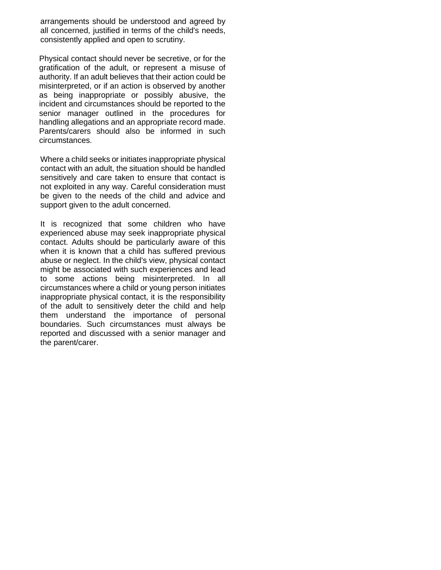arrangements should be understood and agreed by all concerned, justified in terms of the child's needs, consistently applied and open to scrutiny.

Physical contact should never be secretive, or for the gratification of the adult, or represent a misuse of authority. If an adult believes that their action could be misinterpreted, or if an action is observed by another as being inappropriate or possibly abusive, the incident and circumstances should be reported to the senior manager outlined in the procedures for handling allegations and an appropriate record made. Parents/carers should also be informed in such circumstances.

Where a child seeks or initiates inappropriate physical contact with an adult, the situation should be handled sensitively and care taken to ensure that contact is not exploited in any way. Careful consideration must be given to the needs of the child and advice and support given to the adult concerned.

It is recognized that some children who have experienced abuse may seek inappropriate physical contact. Adults should be particularly aware of this when it is known that a child has suffered previous abuse or neglect. In the child's view, physical contact might be associated with such experiences and lead to some actions being misinterpreted. In all circumstances where a child or young person initiates inappropriate physical contact, it is the responsibility of the adult to sensitively deter the child and help them understand the importance of personal boundaries. Such circumstances must always be reported and discussed with a senior manager and the parent/carer.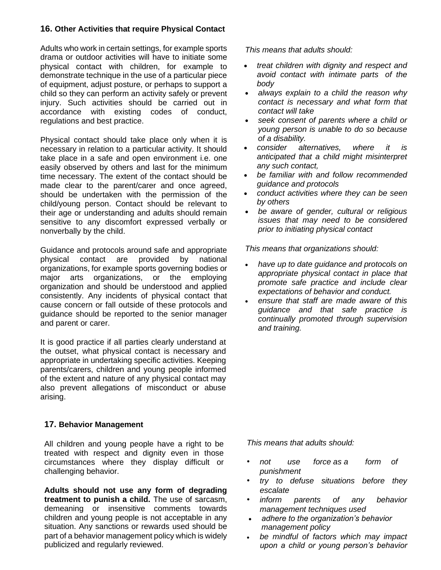### **16. Other Activities that require Physical Contact**

Adults who work in certain settings, for example sports drama or outdoor activities will have to initiate some physical contact with children, for example to demonstrate technique in the use of a particular piece of equipment, adjust posture, or perhaps to support a child so they can perform an activity safely or prevent injury. Such activities should be carried out in accordance with existing codes of conduct, regulations and best practice.

Physical contact should take place only when it is necessary in relation to a particular activity. It should take place in a safe and open environment i.e. one easily observed by others and last for the minimum time necessary. The extent of the contact should be made clear to the parent/carer and once agreed, should be undertaken with the permission of the child/young person. Contact should be relevant to their age or understanding and adults should remain sensitive to any discomfort expressed verbally or nonverbally by the child.

Guidance and protocols around safe and appropriate physical contact are provided by national organizations, for example sports governing bodies or major arts organizations, or the employing organization and should be understood and applied consistently. Any incidents of physical contact that cause concern or fall outside of these protocols and guidance should be reported to the senior manager and parent or carer.

It is good practice if all parties clearly understand at the outset, what physical contact is necessary and appropriate in undertaking specific activities. Keeping parents/carers, children and young people informed of the extent and nature of any physical contact may also prevent allegations of misconduct or abuse arising.

### **17. Behavior Management**

All children and young people have a right to be treated with respect and dignity even in those circumstances where they display difficult or challenging behavior.

**Adults should not use any form of degrading treatment to punish a child.** The use of sarcasm, demeaning or insensitive comments towards children and young people is not acceptable in any situation. Any sanctions or rewards used should be part of a behavior management policy which is widely publicized and regularly reviewed.

*This means that adults should:*

- *treat children with dignity and respect and avoid contact with intimate parts of the body*
- *always explain to a child the reason why contact is necessary and what form that contact will take*
- *seek consent of parents where a child or young person is unable to do so because of a disability.*
- *consider alternatives, where it is anticipated that a child might misinterpret any such contact,*
- *be familiar with and follow recommended guidance and protocols*
- *conduct activities where they can be seen by others*
- *be aware of gender, cultural or religious issues that may need to be considered prior to initiating physical contact*

*This means that organizations should:*

- *have up to date guidance and protocols on appropriate physical contact in place that promote safe practice and include clear expectations of behavior and conduct.*
- *ensure that staff are made aware of this guidance and that safe practice is continually promoted through supervision and training.*

- *• not use force as a form of punishment*
- *• try to defuse situations before they escalate*
- *• inform parents of any behavior management techniques used*
- *adhere to the organization's behavior management policy*
- *be mindful of factors which may impact upon a child or young person's behavior*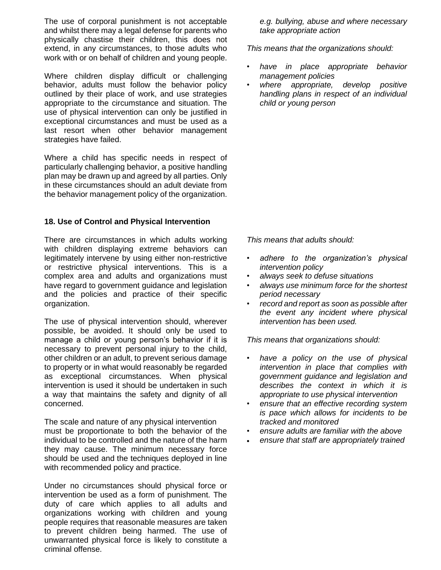The use of corporal punishment is not acceptable and whilst there may a legal defense for parents who physically chastise their children, this does not extend, in any circumstances, to those adults who work with or on behalf of children and young people.

Where children display difficult or challenging behavior, adults must follow the behavior policy outlined by their place of work, and use strategies appropriate to the circumstance and situation. The use of physical intervention can only be justified in exceptional circumstances and must be used as a last resort when other behavior management strategies have failed.

Where a child has specific needs in respect of particularly challenging behavior, a positive handling plan may be drawn up and agreed by all parties. Only in these circumstances should an adult deviate from the behavior management policy of the organization.

#### **18. Use of Control and Physical Intervention**

There are circumstances in which adults working with children displaying extreme behaviors can legitimately intervene by using either non-restrictive or restrictive physical interventions. This is a complex area and adults and organizations must have regard to government guidance and legislation and the policies and practice of their specific organization.

The use of physical intervention should, wherever possible, be avoided. It should only be used to manage a child or young person's behavior if it is necessary to prevent personal injury to the child, other children or an adult, to prevent serious damage to property or in what would reasonably be regarded as exceptional circumstances. When physical intervention is used it should be undertaken in such a way that maintains the safety and dignity of all concerned.

The scale and nature of any physical intervention must be proportionate to both the behavior of the individual to be controlled and the nature of the harm they may cause. The minimum necessary force should be used and the techniques deployed in line with recommended policy and practice.

Under no circumstances should physical force or intervention be used as a form of punishment. The duty of care which applies to all adults and organizations working with children and young people requires that reasonable measures are taken to prevent children being harmed. The use of unwarranted physical force is likely to constitute a criminal offense.

*e.g. bullying, abuse and where necessary take appropriate action*

*This means that the organizations should:*

- *• have in place appropriate behavior management policies*
- *• where appropriate, develop positive handling plans in respect of an individual child or young person*

*This means that adults should:*

- *• adhere to the organization's physical intervention policy*
- *• always seek to defuse situations*
- *• always use minimum force for the shortest period necessary*
- *• record and report as soon as possible after the event any incident where physical intervention has been used.*

*This means that organizations should:*

- *• have a policy on the use of physical intervention in place that complies with government guidance and legislation and describes the context in which it is appropriate to use physical intervention*
- *• ensure that an effective recording system is pace which allows for incidents to be tracked and monitored*
- *• ensure adults are familiar with the above*
- *ensure that staff are appropriately trained*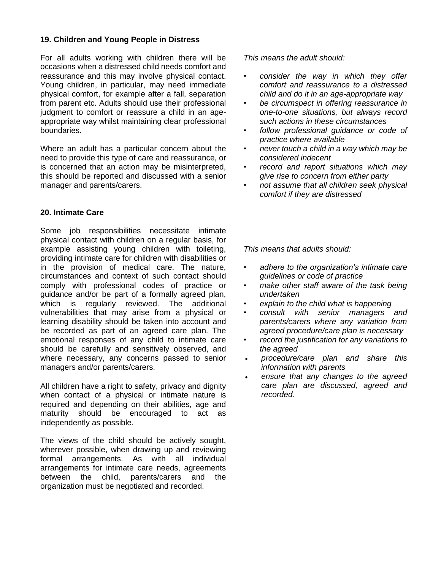#### **19. Children and Young People in Distress**

For all adults working with children there will be occasions when a distressed child needs comfort and reassurance and this may involve physical contact. Young children, in particular, may need immediate physical comfort, for example after a fall, separation from parent etc. Adults should use their professional judgment to comfort or reassure a child in an ageappropriate way whilst maintaining clear professional boundaries.

Where an adult has a particular concern about the need to provide this type of care and reassurance, or is concerned that an action may be misinterpreted, this should be reported and discussed with a senior manager and parents/carers.

#### **20. Intimate Care**

Some job responsibilities necessitate intimate physical contact with children on a regular basis, for example assisting young children with toileting, providing intimate care for children with disabilities or in the provision of medical care. The nature, circumstances and context of such contact should comply with professional codes of practice or guidance and/or be part of a formally agreed plan, which is regularly reviewed. The additional vulnerabilities that may arise from a physical or learning disability should be taken into account and be recorded as part of an agreed care plan. The emotional responses of any child to intimate care should be carefully and sensitively observed, and where necessary, any concerns passed to senior managers and/or parents/carers.

All children have a right to safety, privacy and dignity when contact of a physical or intimate nature is required and depending on their abilities, age and maturity should be encouraged to act as independently as possible.

The views of the child should be actively sought, wherever possible, when drawing up and reviewing formal arrangements. As with all individual arrangements for intimate care needs, agreements between the child, parents/carers and the organization must be negotiated and recorded.

*This means the adult should:*

- *• consider the way in which they offer comfort and reassurance to a distressed child and do it in an age-appropriate way*
- *• be circumspect in offering reassurance in one-to-one situations, but always record such actions in these circumstances*
- *• follow professional guidance or code of practice where available*
- *• never touch a child in a way which may be considered indecent*
- *• record and report situations which may give rise to concern from either party*
- *• not assume that all children seek physical comfort if they are distressed*

- *• adhere to the organization's intimate care guidelines or code of practice*
- *• make other staff aware of the task being undertaken*
- *• explain to the child what is happening*
- *• consult with senior managers and parents/carers where any variation from agreed procedure/care plan is necessary*
- *• record the justification for any variations to the agreed*
- *procedure/care plan and share this information with parents*
- *ensure that any changes to the agreed care plan are discussed, agreed and recorded.*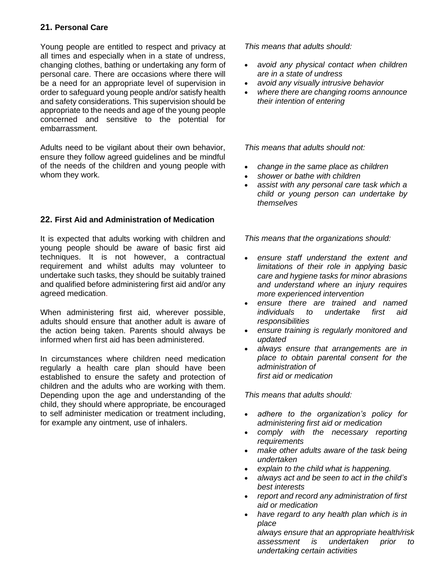## **21. Personal Care**

Young people are entitled to respect and privacy at all times and especially when in a state of undress, changing clothes, bathing or undertaking any form of personal care. There are occasions where there will be a need for an appropriate level of supervision in order to safeguard young people and/or satisfy health and safety considerations. This supervision should be appropriate to the needs and age of the young people concerned and sensitive to the potential for embarrassment.

Adults need to be vigilant about their own behavior, ensure they follow agreed guidelines and be mindful of the needs of the children and young people with whom they work.

### **22. First Aid and Administration of Medication**

It is expected that adults working with children and young people should be aware of basic first aid techniques. It is not however, a contractual requirement and whilst adults may volunteer to undertake such tasks, they should be suitably trained and qualified before administering first aid and/or any agreed medication.

When administering first aid, wherever possible, adults should ensure that another adult is aware of the action being taken. Parents should always be informed when first aid has been administered.

In circumstances where children need medication regularly a health care plan should have been established to ensure the safety and protection of children and the adults who are working with them. Depending upon the age and understanding of the child, they should where appropriate, be encouraged to self administer medication or treatment including, for example any ointment, use of inhalers.

*This means that adults should:*

- *avoid any physical contact when children are in a state of undress*
- *avoid any visually intrusive behavior*
- *where there are changing rooms announce their intention of entering*

*This means that adults should not:*

- *change in the same place as children*
- *shower or bathe with children*
- *assist with any personal care task which a child or young person can undertake by themselves*

*This means that the organizations should:*

- *ensure staff understand the extent and limitations of their role in applying basic care and hygiene tasks for minor abrasions and understand where an injury requires more experienced intervention*
- *ensure there are trained and named individuals to undertake first aid responsibilities*
- *ensure training is regularly monitored and updated*
- *always ensure that arrangements are in place to obtain parental consent for the administration of first aid or medication*

*This means that adults should:*

- *adhere to the organization's policy for administering first aid or medication*
- *comply with the necessary reporting requirements*
- *make other adults aware of the task being undertaken*
- *explain to the child what is happening.*
- *always act and be seen to act in the child's best interests*
- *report and record any administration of first aid or medication*
- *have regard to any health plan which is in place*

*always ensure that an appropriate health/risk assessment is undertaken prior to undertaking certain activities*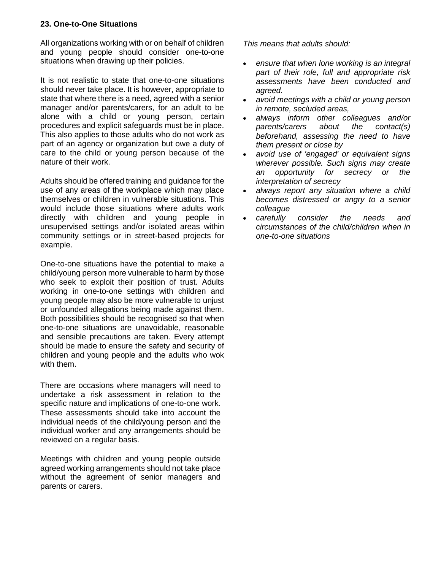### **23. One-to-One Situations**

All organizations working with or on behalf of children and young people should consider one-to-one situations when drawing up their policies.

It is not realistic to state that one-to-one situations should never take place. It is however, appropriate to state that where there is a need, agreed with a senior manager and/or parents/carers, for an adult to be alone with a child or young person, certain procedures and explicit safeguards must be in place. This also applies to those adults who do not work as part of an agency or organization but owe a duty of care to the child or young person because of the nature of their work.

Adults should be offered training and guidance for the use of any areas of the workplace which may place themselves or children in vulnerable situations. This would include those situations where adults work directly with children and young people in unsupervised settings and/or isolated areas within community settings or in street-based projects for example.

One-to-one situations have the potential to make a child/young person more vulnerable to harm by those who seek to exploit their position of trust. Adults working in one-to-one settings with children and young people may also be more vulnerable to unjust or unfounded allegations being made against them. Both possibilities should be recognised so that when one-to-one situations are unavoidable, reasonable and sensible precautions are taken. Every attempt should be made to ensure the safety and security of children and young people and the adults who wok with them.

There are occasions where managers will need to undertake a risk assessment in relation to the specific nature and implications of one-to-one work. These assessments should take into account the individual needs of the child/young person and the individual worker and any arrangements should be reviewed on a regular basis.

Meetings with children and young people outside agreed working arrangements should not take place without the agreement of senior managers and parents or carers.

- *ensure that when lone working is an integral part of their role, full and appropriate risk assessments have been conducted and agreed.*
- *avoid meetings with a child or young person in remote, secluded areas,*
- *always inform other colleagues and/or parents/carers about the contact(s) beforehand, assessing the need to have them present or close by*
- *avoid use of 'engaged' or equivalent signs wherever possible. Such signs may create an opportunity for secrecy or the interpretation of secrecy*
- *always report any situation where a child becomes distressed or angry to a senior colleague*
- *carefully consider the needs and circumstances of the child/children when in one-to-one situations*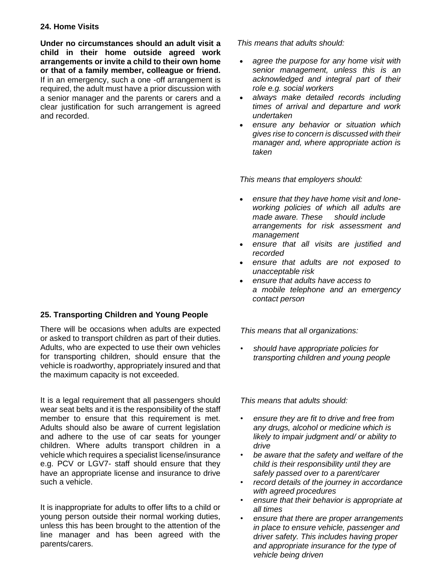#### **24. Home Visits**

**Under no circumstances should an adult visit a child in their home outside agreed work arrangements or invite a child to their own home or that of a family member, colleague or friend.**  If in an emergency, such a one -off arrangement is required, the adult must have a prior discussion with a senior manager and the parents or carers and a clear justification for such arrangement is agreed and recorded.

# **25. Transporting Children and Young People**

There will be occasions when adults are expected or asked to transport children as part of their duties. Adults, who are expected to use their own vehicles for transporting children, should ensure that the vehicle is roadworthy, appropriately insured and that the maximum capacity is not exceeded.

It is a legal requirement that all passengers should wear seat belts and it is the responsibility of the staff member to ensure that this requirement is met. Adults should also be aware of current legislation and adhere to the use of car seats for younger children. Where adults transport children in a vehicle which requires a specialist license/insurance e.g. PCV or LGV7- staff should ensure that they have an appropriate license and insurance to drive such a vehicle.

It is inappropriate for adults to offer lifts to a child or young person outside their normal working duties, unless this has been brought to the attention of the line manager and has been agreed with the parents/carers.

*This means that adults should:*

- *agree the purpose for any home visit with senior management, unless this is an acknowledged and integral part of their role e.g. social workers*
- *always make detailed records including times of arrival and departure and work undertaken*
- *ensure any behavior or situation which gives rise to concern is discussed with their manager and, where appropriate action is taken*

*This means that employers should:*

- *ensure that they have home visit and loneworking policies of which all adults are made aware. These should include arrangements for risk assessment and management*
- *ensure that all visits are justified and recorded*
- *ensure that adults are not exposed to unacceptable risk*
- *ensure that adults have access to a mobile telephone and an emergency contact person*

*This means that all organizations:*

*• should have appropriate policies for transporting children and young people*

- *• ensure they are fit to drive and free from any drugs, alcohol or medicine which is likely to impair judgment and/ or ability to drive*
- *• be aware that the safety and welfare of the child is their responsibility until they are safely passed over to a parent/carer*
- *• record details of the journey in accordance with agreed procedures*
- *• ensure that their behavior is appropriate at all times*
- *• ensure that there are proper arrangements in place to ensure vehicle, passenger and driver safety. This includes having proper and appropriate insurance for the type of vehicle being driven*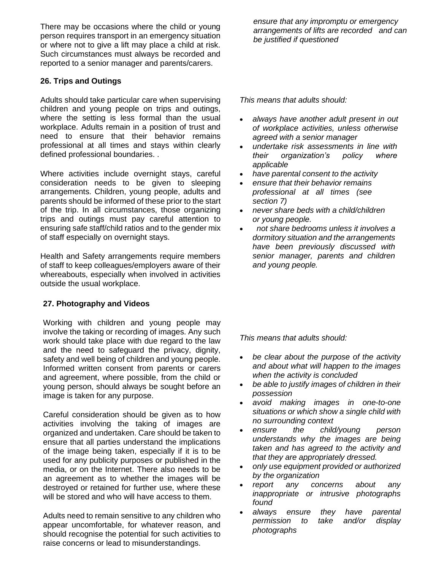There may be occasions where the child or young person requires transport in an emergency situation or where not to give a lift may place a child at risk. Such circumstances must always be recorded and reported to a senior manager and parents/carers.

### **26. Trips and Outings**

Adults should take particular care when supervising children and young people on trips and outings, where the setting is less formal than the usual workplace. Adults remain in a position of trust and need to ensure that their behavior remains professional at all times and stays within clearly defined professional boundaries. .

Where activities include overnight stays, careful consideration needs to be given to sleeping arrangements. Children, young people, adults and parents should be informed of these prior to the start of the trip. In all circumstances, those organizing trips and outings must pay careful attention to ensuring safe staff/child ratios and to the gender mix of staff especially on overnight stays.

Health and Safety arrangements require members of staff to keep colleagues/employers aware of their whereabouts, especially when involved in activities outside the usual workplace.

#### **27. Photography and Videos**

Working with children and young people may involve the taking or recording of images. Any such work should take place with due regard to the law and the need to safeguard the privacy, dignity, safety and well being of children and young people. Informed written consent from parents or carers and agreement, where possible, from the child or young person, should always be sought before an image is taken for any purpose.

Careful consideration should be given as to how activities involving the taking of images are organized and undertaken. Care should be taken to ensure that all parties understand the implications of the image being taken, especially if it is to be used for any publicity purposes or published in the media, or on the Internet. There also needs to be an agreement as to whether the images will be destroyed or retained for further use, where these will be stored and who will have access to them.

Adults need to remain sensitive to any children who appear uncomfortable, for whatever reason, and should recognise the potential for such activities to raise concerns or lead to misunderstandings.

*ensure that any impromptu or emergency arrangements of lifts are recorded and can be justified if questioned*

*This means that adults should:*

- *always have another adult present in out of workplace activities, unless otherwise agreed with a senior manager*
- *undertake risk assessments in line with their organization's policy where applicable*
- *have parental consent to the activity*
- *ensure that their behavior remains professional at all times (see section 7)*
- *never share beds with a child/children or young people.*
- *not share bedrooms unless it involves a dormitory situation and the arrangements have been previously discussed with senior manager, parents and children and young people.*

- *be clear about the purpose of the activity and about what will happen to the images when the activity is concluded*
- *be able to justify images of children in their possession*
- *avoid making images in one-to-one situations or which show a single child with no surrounding context*
- *ensure the child/young person understands why the images are being taken and has agreed to the activity and that they are appropriately dressed.*
- *only use equipment provided or authorized by the organization*
- *report any concerns about any inappropriate or intrusive photographs found*
- *always ensure they have parental permission to take and/or display photographs*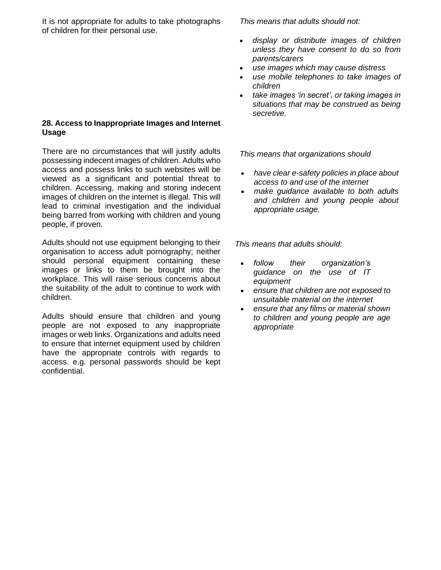It is not appropriate for adults to take photographs of children for their personal use.

#### **28. Access to Inappropriate Images and Internet Usage**

There are no circumstances that will justify adults possessing indecent images of children. Adults who access and possess links to such websites will be viewed as a significant and potential threat to children. Accessing, making and storing indecent images of children on the internet is illegal. This will lead to criminal investigation and the individual being barred from working with children and young people, if proven.

Adults should not use equipment belonging to their organisation to access adult pornography; neither should personal equipment containing these images or links to them be brought into the workplace. This will raise serious concerns about the suitability of the adult to continue to work with children.

Adults should ensure that children and young people are not exposed to any inappropriate images or web links. Organizations and adults need to ensure that internet equipment used by children have the appropriate controls with regards to access. e.g. personal passwords should be kept confidential.

*This means that adults should not:*

- *display or distribute images of children unless they have consent to do so from parents/carers*
- *use images which may cause distress*
- *use mobile telephones to take images of children*
- *take images 'in secret', or taking images in situations that may be construed as being secretive.*

*This means that organizations should*

- *have clear e-safety policies in place about access to and use of the internet*
- *make guidance available to both adults and children and young people about appropriate usage.*

- *follow their organization's guidance on the use of IT equipment*
- *ensure that children are not exposed to unsuitable material on the internet*
- *ensure that any films or material shown to children and young people are age appropriate*